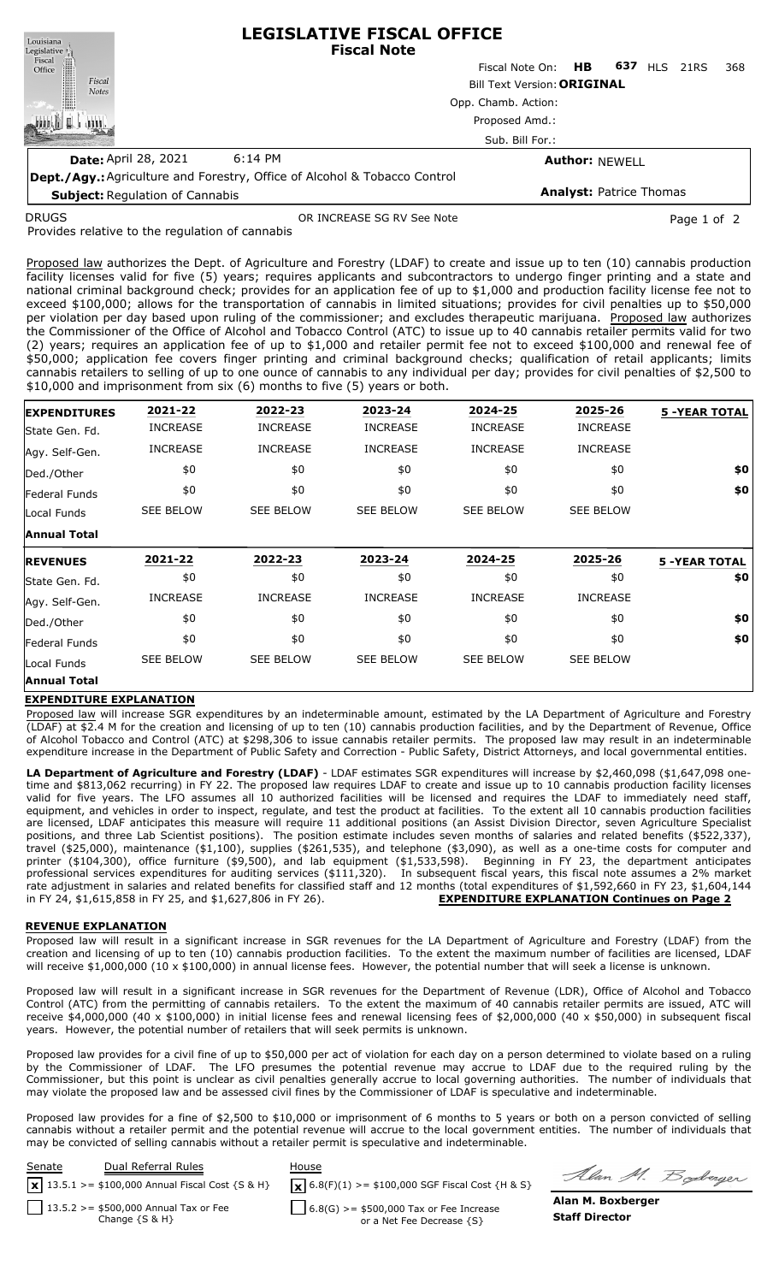| Louisiana                                                                        | <b>LEGISLATIVE FISCAL OFFICE</b><br><b>Fiscal Note</b>                      |                                |                       |            |      |     |  |
|----------------------------------------------------------------------------------|-----------------------------------------------------------------------------|--------------------------------|-----------------------|------------|------|-----|--|
| Legislative<br>Fiscal<br>Office                                                  |                                                                             | Fiscal Note On: HB             | 637                   | <b>HLS</b> | 21RS | 368 |  |
| Fiscal<br><b>Notes</b>                                                           | <b>Bill Text Version: ORIGINAL</b><br>Opp. Chamb. Action:<br>Proposed Amd.: |                                |                       |            |      |     |  |
|                                                                                  |                                                                             |                                |                       |            |      |     |  |
|                                                                                  |                                                                             |                                |                       |            |      |     |  |
|                                                                                  | Sub. Bill For.:                                                             |                                |                       |            |      |     |  |
| <b>Date: April 28, 2021</b>                                                      | $6:14$ PM                                                                   |                                | <b>Author: NEWELL</b> |            |      |     |  |
| <b>Dept./Agy.:</b> Agriculture and Forestry, Office of Alcohol & Tobacco Control |                                                                             |                                |                       |            |      |     |  |
| <b>Subject: Regulation of Cannabis</b>                                           |                                                                             | <b>Analyst: Patrice Thomas</b> |                       |            |      |     |  |

DRUGS

OR INCREASE SG RV See Note **Page 1 of 2** and 2

Provides relative to the regulation of cannabis

Proposed law authorizes the Dept. of Agriculture and Forestry (LDAF) to create and issue up to ten (10) cannabis production facility licenses valid for five (5) years; requires applicants and subcontractors to undergo finger printing and a state and national criminal background check; provides for an application fee of up to \$1,000 and production facility license fee not to exceed \$100,000; allows for the transportation of cannabis in limited situations; provides for civil penalties up to \$50,000 per violation per day based upon ruling of the commissioner; and excludes therapeutic marijuana. Proposed law authorizes the Commissioner of the Office of Alcohol and Tobacco Control (ATC) to issue up to 40 cannabis retailer permits valid for two (2) years; requires an application fee of up to \$1,000 and retailer permit fee not to exceed \$100,000 and renewal fee of \$50,000; application fee covers finger printing and criminal background checks; qualification of retail applicants; limits cannabis retailers to selling of up to one ounce of cannabis to any individual per day; provides for civil penalties of \$2,500 to \$10,000 and imprisonment from six (6) months to five (5) years or both.

| <b>EXPENDITURES</b> | 2021-22          | 2022-23          | 2023-24          | 2024-25          | 2025-26          | <b>5 -YEAR TOTAL</b> |
|---------------------|------------------|------------------|------------------|------------------|------------------|----------------------|
| State Gen. Fd.      | <b>INCREASE</b>  | <b>INCREASE</b>  | <b>INCREASE</b>  | <b>INCREASE</b>  | <b>INCREASE</b>  |                      |
| Agy. Self-Gen.      | <b>INCREASE</b>  | <b>INCREASE</b>  | <b>INCREASE</b>  | <b>INCREASE</b>  | <b>INCREASE</b>  |                      |
| Ded./Other          | \$0              | \$0              | \$0              | \$0              | \$0              | \$0                  |
| Federal Funds       | \$0              | \$0              | \$0              | \$0              | \$0              | \$0                  |
| Local Funds         | <b>SEE BELOW</b> | <b>SEE BELOW</b> | <b>SEE BELOW</b> | <b>SEE BELOW</b> | <b>SEE BELOW</b> |                      |
| Annual Total        |                  |                  |                  |                  |                  |                      |
| <b>REVENUES</b>     | 2021-22          | 2022-23          | 2023-24          | 2024-25          | 2025-26          | <b>5 -YEAR TOTAL</b> |
| State Gen. Fd.      | \$0              | \$0              | \$0              | \$0              | \$0              | \$0                  |
| Agy. Self-Gen.      | <b>INCREASE</b>  | <b>INCREASE</b>  | <b>INCREASE</b>  | <b>INCREASE</b>  | <b>INCREASE</b>  |                      |
| Ded./Other          | \$0              | \$0              | \$0              | \$0              | \$0              | \$0                  |
| Federal Funds       | \$0              | \$0              | \$0              | \$0              | \$0              | \$0                  |
| Local Funds         | <b>SEE BELOW</b> | <b>SEE BELOW</b> | <b>SEE BELOW</b> | <b>SEE BELOW</b> | <b>SEE BELOW</b> |                      |
|                     |                  |                  |                  |                  |                  |                      |

## **EXPENDITURE EXPLANATION**

Proposed law will increase SGR expenditures by an indeterminable amount, estimated by the LA Department of Agriculture and Forestry (LDAF) at \$2.4 M for the creation and licensing of up to ten (10) cannabis production facilities, and by the Department of Revenue, Office of Alcohol Tobacco and Control (ATC) at \$298,306 to issue cannabis retailer permits. The proposed law may result in an indeterminable expenditure increase in the Department of Public Safety and Correction - Public Safety, District Attorneys, and local governmental entities.

**LA Department of Agriculture and Forestry (LDAF)** - LDAF estimates SGR expenditures will increase by \$2,460,098 (\$1,647,098 onetime and \$813,062 recurring) in FY 22. The proposed law requires LDAF to create and issue up to 10 cannabis production facility licenses valid for five years. The LFO assumes all 10 authorized facilities will be licensed and requires the LDAF to immediately need staff, equipment, and vehicles in order to inspect, regulate, and test the product at facilities. To the extent all 10 cannabis production facilities are licensed, LDAF anticipates this measure will require 11 additional positions (an Assist Division Director, seven Agriculture Specialist positions, and three Lab Scientist positions). The position estimate includes seven months of salaries and related benefits (\$522,337), travel (\$25,000), maintenance (\$1,100), supplies (\$261,535), and telephone (\$3,090), as well as a one-time costs for computer and printer (\$104,300), office furniture (\$9,500), and lab equipment (\$1,533,598). Beginning in FY 23, the department anticipates professional services expenditures for auditing services (\$111,320). In subsequent fiscal years, this fiscal note assumes a 2% market rate adjustment in salaries and related benefits for classified staff and 12 months (total expenditures of \$1,592,660 in FY 23, \$1,604,144 in FY 24, \$1,615,858 in FY 25, and \$1,627,806 in FY 26). **EXPENDITURE EXPLANATION Continues on Page 2**

## **REVENUE EXPLANATION**

Proposed law will result in a significant increase in SGR revenues for the LA Department of Agriculture and Forestry (LDAF) from the creation and licensing of up to ten (10) cannabis production facilities. To the extent the maximum number of facilities are licensed, LDAF will receive \$1,000,000 (10 x \$100,000) in annual license fees. However, the potential number that will seek a license is unknown.

Proposed law will result in a significant increase in SGR revenues for the Department of Revenue (LDR), Office of Alcohol and Tobacco Control (ATC) from the permitting of cannabis retailers. To the extent the maximum of 40 cannabis retailer permits are issued, ATC will receive \$4,000,000 (40 x \$100,000) in initial license fees and renewal licensing fees of \$2,000,000 (40 x \$50,000) in subsequent fiscal years. However, the potential number of retailers that will seek permits is unknown.

Proposed law provides for a civil fine of up to \$50,000 per act of violation for each day on a person determined to violate based on a ruling by the Commissioner of LDAF. The LFO presumes the potential revenue may accrue to LDAF due to the required ruling by the Commissioner, but this point is unclear as civil penalties generally accrue to local governing authorities. The number of individuals that may violate the proposed law and be assessed civil fines by the Commissioner of LDAF is speculative and indeterminable.

Proposed law provides for a fine of \$2,500 to \$10,000 or imprisonment of 6 months to 5 years or both on a person convicted of selling cannabis without a retailer permit and the potential revenue will accrue to the local government entities. The number of individuals that may be convicted of selling cannabis without a retailer permit is speculative and indeterminable.



Alan M. Boderger

 $6.8(G)$  >= \$500,000 Tax or Fee Increase or a Net Fee Decrease {S}

**Alan M. Boxberger Staff Director**